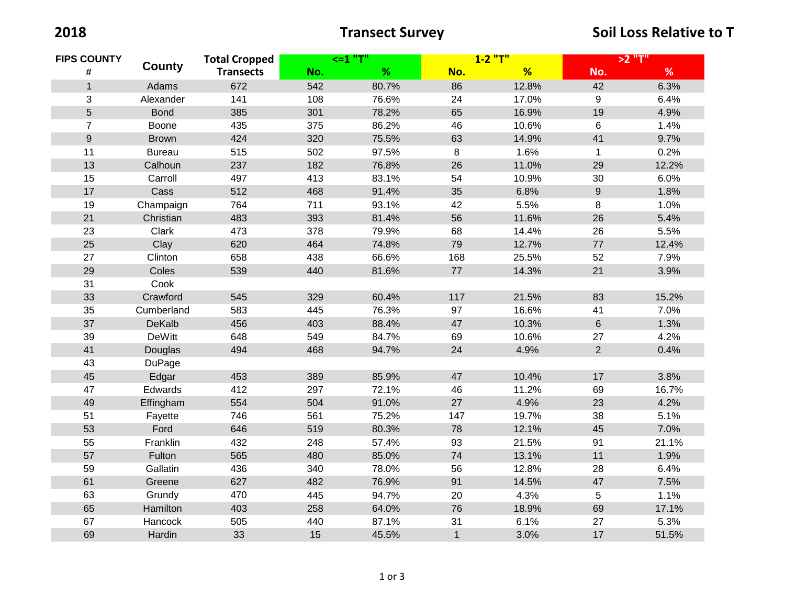| <b>FIPS COUNTY</b><br># | County        | <b>Total Cropped</b> | <=1 "T" |       | $1 - 2$ "T"  |       | >2 "T"         |       |
|-------------------------|---------------|----------------------|---------|-------|--------------|-------|----------------|-------|
|                         |               | <b>Transects</b>     | No.     | %     | No.          | %     | No.            | $\%$  |
| $\mathbf{1}$            | Adams         | 672                  | 542     | 80.7% | 86           | 12.8% | 42             | 6.3%  |
| 3                       | Alexander     | 141                  | 108     | 76.6% | 24           | 17.0% | 9              | 6.4%  |
| 5                       | <b>Bond</b>   | 385                  | 301     | 78.2% | 65           | 16.9% | 19             | 4.9%  |
| $\overline{7}$          | Boone         | 435                  | 375     | 86.2% | 46           | 10.6% | 6              | 1.4%  |
| $\boldsymbol{9}$        | <b>Brown</b>  | 424                  | 320     | 75.5% | 63           | 14.9% | 41             | 9.7%  |
| 11                      | <b>Bureau</b> | 515                  | 502     | 97.5% | 8            | 1.6%  | $\mathbf 1$    | 0.2%  |
| 13                      | Calhoun       | 237                  | 182     | 76.8% | 26           | 11.0% | 29             | 12.2% |
| 15                      | Carroll       | 497                  | 413     | 83.1% | 54           | 10.9% | 30             | 6.0%  |
| 17                      | Cass          | 512                  | 468     | 91.4% | 35           | 6.8%  | $9\,$          | 1.8%  |
| 19                      | Champaign     | 764                  | 711     | 93.1% | 42           | 5.5%  | 8              | 1.0%  |
| 21                      | Christian     | 483                  | 393     | 81.4% | 56           | 11.6% | 26             | 5.4%  |
| 23                      | Clark         | 473                  | 378     | 79.9% | 68           | 14.4% | 26             | 5.5%  |
| 25                      | Clay          | 620                  | 464     | 74.8% | 79           | 12.7% | $77$           | 12.4% |
| 27                      | Clinton       | 658                  | 438     | 66.6% | 168          | 25.5% | 52             | 7.9%  |
| 29                      | Coles         | 539                  | 440     | 81.6% | 77           | 14.3% | 21             | 3.9%  |
| 31                      | Cook          |                      |         |       |              |       |                |       |
| 33                      | Crawford      | 545                  | 329     | 60.4% | 117          | 21.5% | 83             | 15.2% |
| 35                      | Cumberland    | 583                  | 445     | 76.3% | 97           | 16.6% | 41             | 7.0%  |
| 37                      | <b>DeKalb</b> | 456                  | 403     | 88.4% | 47           | 10.3% | $6\phantom{a}$ | 1.3%  |
| 39                      | <b>DeWitt</b> | 648                  | 549     | 84.7% | 69           | 10.6% | 27             | 4.2%  |
| 41                      | Douglas       | 494                  | 468     | 94.7% | 24           | 4.9%  | $\overline{2}$ | 0.4%  |
| 43                      | DuPage        |                      |         |       |              |       |                |       |
| 45                      | Edgar         | 453                  | 389     | 85.9% | 47           | 10.4% | 17             | 3.8%  |
| 47                      | Edwards       | 412                  | 297     | 72.1% | 46           | 11.2% | 69             | 16.7% |
| 49                      | Effingham     | 554                  | 504     | 91.0% | 27           | 4.9%  | 23             | 4.2%  |
| 51                      | Fayette       | 746                  | 561     | 75.2% | 147          | 19.7% | 38             | 5.1%  |
| 53                      | Ford          | 646                  | 519     | 80.3% | 78           | 12.1% | 45             | 7.0%  |
| 55                      | Franklin      | 432                  | 248     | 57.4% | 93           | 21.5% | 91             | 21.1% |
| 57                      | Fulton        | 565                  | 480     | 85.0% | 74           | 13.1% | 11             | 1.9%  |
| 59                      | Gallatin      | 436                  | 340     | 78.0% | 56           | 12.8% | 28             | 6.4%  |
| 61                      | Greene        | 627                  | 482     | 76.9% | 91           | 14.5% | 47             | 7.5%  |
| 63                      | Grundy        | 470                  | 445     | 94.7% | 20           | 4.3%  | 5              | 1.1%  |
| 65                      | Hamilton      | 403                  | 258     | 64.0% | 76           | 18.9% | 69             | 17.1% |
| 67                      | Hancock       | 505                  | 440     | 87.1% | 31           | 6.1%  | 27             | 5.3%  |
| 69                      | Hardin        | 33                   | 15      | 45.5% | $\mathbf{1}$ | 3.0%  | 17             | 51.5% |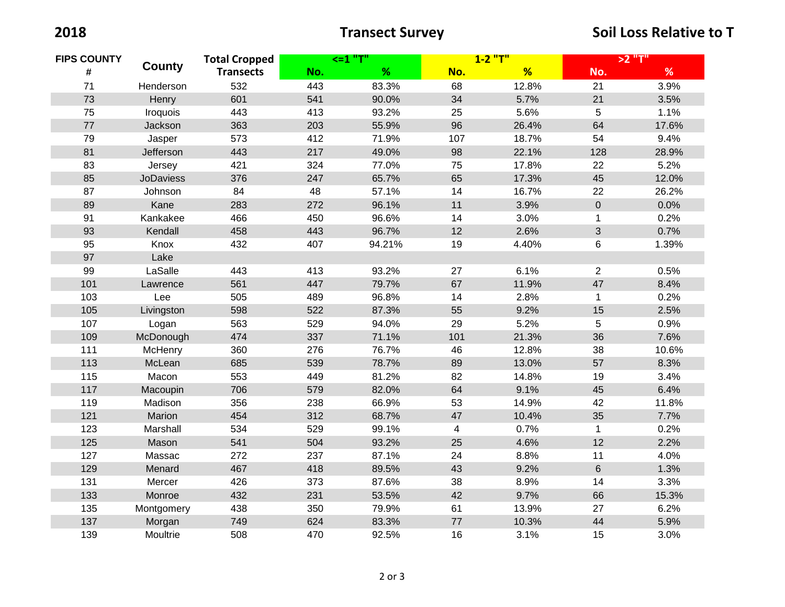| <b>FIPS COUNTY</b><br># | <b>County</b>    | <b>Total Cropped</b><br><b>Transects</b> | $<=1$ "T" |        | $1 - 2$ "T" |       | >2 "T"         |       |
|-------------------------|------------------|------------------------------------------|-----------|--------|-------------|-------|----------------|-------|
|                         |                  |                                          | No.       | %      | No.         | %     | No.            | $\%$  |
| 71                      | Henderson        | 532                                      | 443       | 83.3%  | 68          | 12.8% | 21             | 3.9%  |
| 73                      | Henry            | 601                                      | 541       | 90.0%  | 34          | 5.7%  | 21             | 3.5%  |
| 75                      | Iroquois         | 443                                      | 413       | 93.2%  | 25          | 5.6%  | $\overline{5}$ | 1.1%  |
| 77                      | Jackson          | 363                                      | 203       | 55.9%  | 96          | 26.4% | 64             | 17.6% |
| 79                      | Jasper           | 573                                      | 412       | 71.9%  | 107         | 18.7% | 54             | 9.4%  |
| 81                      | Jefferson        | 443                                      | 217       | 49.0%  | 98          | 22.1% | 128            | 28.9% |
| 83                      | Jersey           | 421                                      | 324       | 77.0%  | 75          | 17.8% | 22             | 5.2%  |
| 85                      | <b>JoDaviess</b> | 376                                      | 247       | 65.7%  | 65          | 17.3% | 45             | 12.0% |
| 87                      | Johnson          | 84                                       | 48        | 57.1%  | 14          | 16.7% | 22             | 26.2% |
| 89                      | Kane             | 283                                      | 272       | 96.1%  | 11          | 3.9%  | $\mathbf 0$    | 0.0%  |
| 91                      | Kankakee         | 466                                      | 450       | 96.6%  | 14          | 3.0%  | $\mathbf{1}$   | 0.2%  |
| 93                      | Kendall          | 458                                      | 443       | 96.7%  | 12          | 2.6%  | $\mathfrak{S}$ | 0.7%  |
| 95                      | Knox             | 432                                      | 407       | 94.21% | 19          | 4.40% | 6              | 1.39% |
| 97                      | Lake             |                                          |           |        |             |       |                |       |
| 99                      | LaSalle          | 443                                      | 413       | 93.2%  | 27          | 6.1%  | $\overline{2}$ | 0.5%  |
| 101                     | Lawrence         | 561                                      | 447       | 79.7%  | 67          | 11.9% | 47             | 8.4%  |
| 103                     | Lee              | 505                                      | 489       | 96.8%  | 14          | 2.8%  | $\mathbf{1}$   | 0.2%  |
| 105                     | Livingston       | 598                                      | 522       | 87.3%  | 55          | 9.2%  | 15             | 2.5%  |
| 107                     | Logan            | 563                                      | 529       | 94.0%  | 29          | 5.2%  | 5              | 0.9%  |
| 109                     | McDonough        | 474                                      | 337       | 71.1%  | 101         | 21.3% | 36             | 7.6%  |
| 111                     | <b>McHenry</b>   | 360                                      | 276       | 76.7%  | 46          | 12.8% | 38             | 10.6% |
| 113                     | McLean           | 685                                      | 539       | 78.7%  | 89          | 13.0% | 57             | 8.3%  |
| 115                     | Macon            | 553                                      | 449       | 81.2%  | 82          | 14.8% | 19             | 3.4%  |
| 117                     | Macoupin         | 706                                      | 579       | 82.0%  | 64          | 9.1%  | 45             | 6.4%  |
| 119                     | Madison          | 356                                      | 238       | 66.9%  | 53          | 14.9% | 42             | 11.8% |
| 121                     | Marion           | 454                                      | 312       | 68.7%  | 47          | 10.4% | 35             | 7.7%  |
| 123                     | Marshall         | 534                                      | 529       | 99.1%  | 4           | 0.7%  | 1              | 0.2%  |
| 125                     | Mason            | 541                                      | 504       | 93.2%  | 25          | 4.6%  | 12             | 2.2%  |
| 127                     | Massac           | 272                                      | 237       | 87.1%  | 24          | 8.8%  | 11             | 4.0%  |
| 129                     | Menard           | 467                                      | 418       | 89.5%  | 43          | 9.2%  | $6\,$          | 1.3%  |
| 131                     | Mercer           | 426                                      | 373       | 87.6%  | 38          | 8.9%  | 14             | 3.3%  |
| 133                     | Monroe           | 432                                      | 231       | 53.5%  | 42          | 9.7%  | 66             | 15.3% |
| 135                     | Montgomery       | 438                                      | 350       | 79.9%  | 61          | 13.9% | 27             | 6.2%  |
| 137                     | Morgan           | 749                                      | 624       | 83.3%  | 77          | 10.3% | 44             | 5.9%  |
| 139                     | Moultrie         | 508                                      | 470       | 92.5%  | 16          | 3.1%  | 15             | 3.0%  |